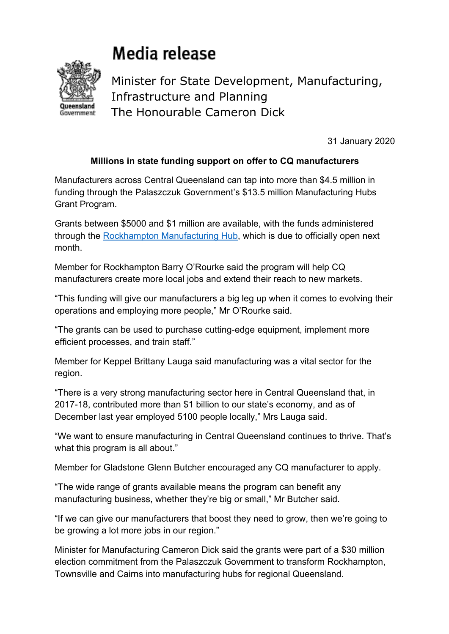## Media release



Minister for State Development, Manufacturing, Infrastructure and Planning The Honourable Cameron Dick

31 January 2020

## **Millions in state funding support on offer to CQ manufacturers**

Manufacturers across Central Queensland can tap into more than \$4.5 million in funding through the Palaszczuk Government's \$13.5 million Manufacturing Hubs Grant Program.

Grants between \$5000 and \$1 million are available, with the funds administered through the Rockhampton Manufacturing Hub, which is due to officially open next month.

Member for Rockhampton Barry O'Rourke said the program will help CQ manufacturers create more local jobs and extend their reach to new markets.

"This funding will give our manufacturers a big leg up when it comes to evolving their operations and employing more people," Mr O'Rourke said.

"The grants can be used to purchase cutting-edge equipment, implement more efficient processes, and train staff."

Member for Keppel Brittany Lauga said manufacturing was a vital sector for the region.

"There is a very strong manufacturing sector here in Central Queensland that, in 2017-18, contributed more than \$1 billion to our state's economy, and as of December last year employed 5100 people locally," Mrs Lauga said.

"We want to ensure manufacturing in Central Queensland continues to thrive. That's what this program is all about."

Member for Gladstone Glenn Butcher encouraged any CQ manufacturer to apply.

"The wide range of grants available means the program can benefit any manufacturing business, whether they're big or small," Mr Butcher said.

"If we can give our manufacturers that boost they need to grow, then we're going to be growing a lot more jobs in our region."

Minister for Manufacturing Cameron Dick said the grants were part of a \$30 million election commitment from the Palaszczuk Government to transform Rockhampton, Townsville and Cairns into manufacturing hubs for regional Queensland.